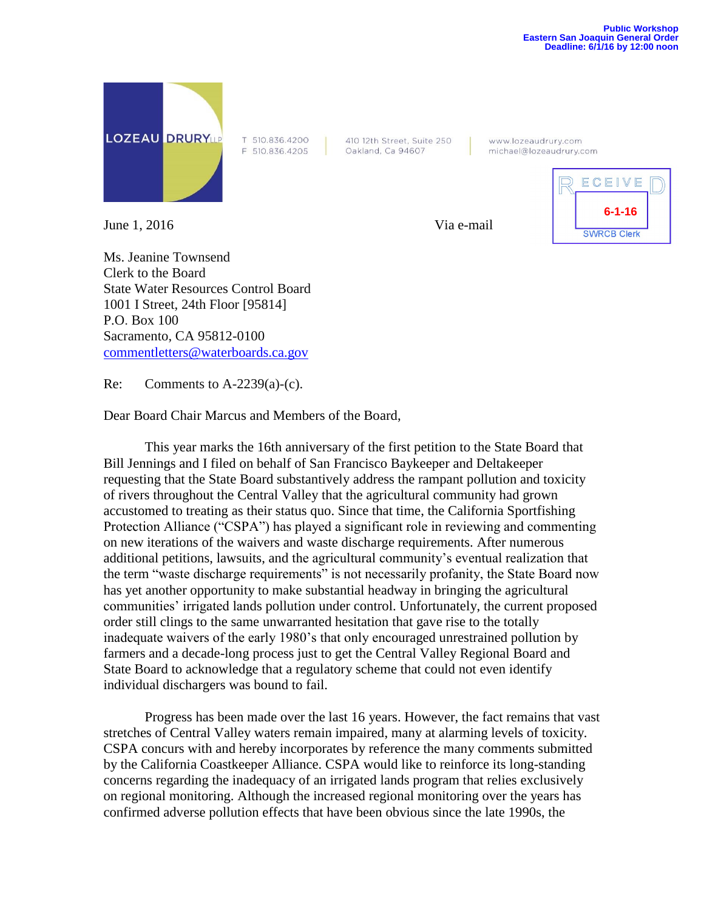

June 1, 2016 Via e-mail

T 510.836.4200 F 510.836.4205 410 12th Street, Suite 250 Oakland, Ca 94607

www.lozeaudrury.com michael@lozeaudrury.com



Ms. Jeanine Townsend Clerk to the Board State Water Resources Control Board 1001 I Street, 24th Floor [95814] P.O. Box 100 Sacramento, CA 95812-0100 [commentletters@waterboards.ca.gov](mailto:commentletters@waterboards.ca.gov)

Re: Comments to  $A-2239(a)-(c)$ .

Dear Board Chair Marcus and Members of the Board,

This year marks the 16th anniversary of the first petition to the State Board that Bill Jennings and I filed on behalf of San Francisco Baykeeper and Deltakeeper requesting that the State Board substantively address the rampant pollution and toxicity of rivers throughout the Central Valley that the agricultural community had grown accustomed to treating as their status quo. Since that time, the California Sportfishing Protection Alliance ("CSPA") has played a significant role in reviewing and commenting on new iterations of the waivers and waste discharge requirements. After numerous additional petitions, lawsuits, and the agricultural community's eventual realization that the term "waste discharge requirements" is not necessarily profanity, the State Board now has yet another opportunity to make substantial headway in bringing the agricultural communities' irrigated lands pollution under control. Unfortunately, the current proposed order still clings to the same unwarranted hesitation that gave rise to the totally inadequate waivers of the early 1980's that only encouraged unrestrained pollution by farmers and a decade-long process just to get the Central Valley Regional Board and State Board to acknowledge that a regulatory scheme that could not even identify individual dischargers was bound to fail.

Progress has been made over the last 16 years. However, the fact remains that vast stretches of Central Valley waters remain impaired, many at alarming levels of toxicity. CSPA concurs with and hereby incorporates by reference the many comments submitted by the California Coastkeeper Alliance. CSPA would like to reinforce its long-standing concerns regarding the inadequacy of an irrigated lands program that relies exclusively on regional monitoring. Although the increased regional monitoring over the years has confirmed adverse pollution effects that have been obvious since the late 1990s, the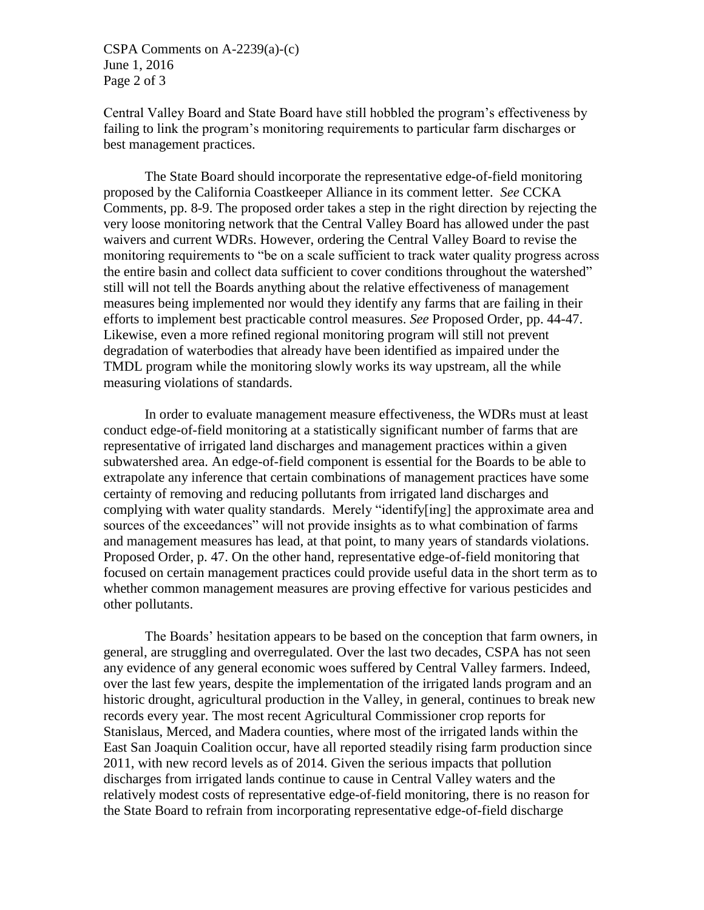CSPA Comments on A-2239(a)-(c) June 1, 2016 Page 2 of 3

Central Valley Board and State Board have still hobbled the program's effectiveness by failing to link the program's monitoring requirements to particular farm discharges or best management practices.

The State Board should incorporate the representative edge-of-field monitoring proposed by the California Coastkeeper Alliance in its comment letter. *See* CCKA Comments, pp. 8-9. The proposed order takes a step in the right direction by rejecting the very loose monitoring network that the Central Valley Board has allowed under the past waivers and current WDRs. However, ordering the Central Valley Board to revise the monitoring requirements to "be on a scale sufficient to track water quality progress across the entire basin and collect data sufficient to cover conditions throughout the watershed" still will not tell the Boards anything about the relative effectiveness of management measures being implemented nor would they identify any farms that are failing in their efforts to implement best practicable control measures. *See* Proposed Order, pp. 44-47. Likewise, even a more refined regional monitoring program will still not prevent degradation of waterbodies that already have been identified as impaired under the TMDL program while the monitoring slowly works its way upstream, all the while measuring violations of standards.

In order to evaluate management measure effectiveness, the WDRs must at least conduct edge-of-field monitoring at a statistically significant number of farms that are representative of irrigated land discharges and management practices within a given subwatershed area. An edge-of-field component is essential for the Boards to be able to extrapolate any inference that certain combinations of management practices have some certainty of removing and reducing pollutants from irrigated land discharges and complying with water quality standards. Merely "identify[ing] the approximate area and sources of the exceedances" will not provide insights as to what combination of farms and management measures has lead, at that point, to many years of standards violations. Proposed Order, p. 47. On the other hand, representative edge-of-field monitoring that focused on certain management practices could provide useful data in the short term as to whether common management measures are proving effective for various pesticides and other pollutants.

The Boards' hesitation appears to be based on the conception that farm owners, in general, are struggling and overregulated. Over the last two decades, CSPA has not seen any evidence of any general economic woes suffered by Central Valley farmers. Indeed, over the last few years, despite the implementation of the irrigated lands program and an historic drought, agricultural production in the Valley, in general, continues to break new records every year. The most recent Agricultural Commissioner crop reports for Stanislaus, Merced, and Madera counties, where most of the irrigated lands within the East San Joaquin Coalition occur, have all reported steadily rising farm production since 2011, with new record levels as of 2014. Given the serious impacts that pollution discharges from irrigated lands continue to cause in Central Valley waters and the relatively modest costs of representative edge-of-field monitoring, there is no reason for the State Board to refrain from incorporating representative edge-of-field discharge